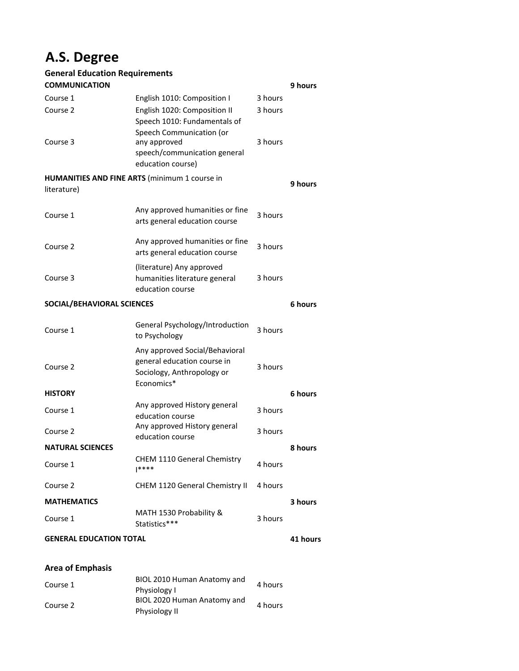## **A.S. Degree**

## **General Education Requirements**

| <b>COMMUNICATION</b>                                 |                                                                                                           |         | 9 hours  |  |
|------------------------------------------------------|-----------------------------------------------------------------------------------------------------------|---------|----------|--|
| Course 1                                             | English 1010: Composition I                                                                               | 3 hours |          |  |
| Course 2                                             | English 1020: Composition II<br>Speech 1010: Fundamentals of                                              | 3 hours |          |  |
| Course 3                                             | Speech Communication (or<br>any approved<br>speech/communication general<br>education course)             | 3 hours |          |  |
| <b>HUMANITIES AND FINE ARTS (minimum 1 course in</b> |                                                                                                           |         |          |  |
| literature)                                          |                                                                                                           |         | 9 hours  |  |
| Course 1                                             | Any approved humanities or fine<br>arts general education course                                          | 3 hours |          |  |
| Course 2                                             | Any approved humanities or fine<br>arts general education course                                          | 3 hours |          |  |
| Course 3                                             | (literature) Any approved<br>humanities literature general<br>education course                            | 3 hours |          |  |
| SOCIAL/BEHAVIORAL SCIENCES                           |                                                                                                           |         |          |  |
| Course 1                                             | General Psychology/Introduction<br>to Psychology                                                          | 3 hours |          |  |
| Course 2                                             | Any approved Social/Behavioral<br>general education course in<br>Sociology, Anthropology or<br>Economics* | 3 hours |          |  |
| <b>HISTORY</b>                                       |                                                                                                           |         | 6 hours  |  |
| Course 1                                             | Any approved History general<br>education course                                                          | 3 hours |          |  |
| Course 2                                             | Any approved History general<br>education course                                                          | 3 hours |          |  |
| <b>NATURAL SCIENCES</b>                              |                                                                                                           |         | 8 hours  |  |
| Course 1                                             | CHEM 1110 General Chemistry<br> ****                                                                      | 4 hours |          |  |
| Course 2                                             | CHEM 1120 General Chemistry II                                                                            | 4 hours |          |  |
| <b>MATHEMATICS</b>                                   |                                                                                                           |         | 3 hours  |  |
| Course 1                                             | MATH 1530 Probability &<br>Statistics***                                                                  | 3 hours |          |  |
| <b>GENERAL EDUCATION TOTAL</b>                       |                                                                                                           |         | 41 hours |  |

## **Area of Emphasis**

|          | BIOL 2010 Human Anatomy and |         |  |
|----------|-----------------------------|---------|--|
| Course 1 | Physiology I                | 4 hours |  |
| Course 2 | BIOL 2020 Human Anatomy and |         |  |
|          | Physiology II               | 4 hours |  |